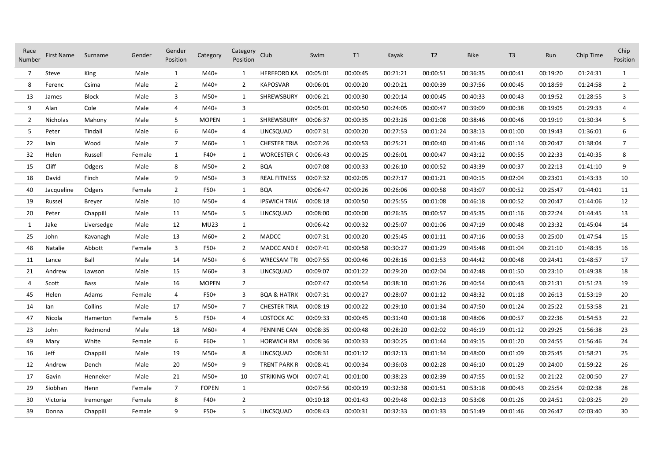| Race<br>Number | <b>First Name</b> | Surname       | Gender | Gender<br>Position | Category     | Category Club<br>Position |                         | Swim     | T1       | Kayak    | T <sub>2</sub> | <b>Bike</b> | T3       | Run      | Chip Time | Chip<br>Position |
|----------------|-------------------|---------------|--------|--------------------|--------------|---------------------------|-------------------------|----------|----------|----------|----------------|-------------|----------|----------|-----------|------------------|
| 7              | Steve             | King          | Male   | 1                  | $M40+$       | $\mathbf{1}$              | <b>HEREFORD KA</b>      | 00:05:01 | 00:00:45 | 00:21:21 | 00:00:51       | 00:36:35    | 00:00:41 | 00:19:20 | 01:24:31  | $\mathbf{1}$     |
| 8              | Ferenc            | Csima         | Male   | $\overline{2}$     | M40+         | 2                         | <b>KAPOSVAR</b>         | 00:06:01 | 00:00:20 | 00:20:21 | 00:00:39       | 00:37:56    | 00:00:45 | 00:18:59 | 01:24:58  | $\overline{2}$   |
| 13             | James             | <b>Block</b>  | Male   | 3                  | M50+         | 1                         | SHREWSBURY              | 00:06:21 | 00:00:30 | 00:20:14 | 00:00:45       | 00:40:33    | 00:00:43 | 00:19:52 | 01:28:55  | 3                |
| 9              | Alan              | Cole          | Male   | 4                  | M40+         | 3                         |                         | 00:05:01 | 00:00:50 | 00:24:05 | 00:00:47       | 00:39:09    | 00:00:38 | 00:19:05 | 01:29:33  | 4                |
| 2              | Nicholas          | Mahony        | Male   | 5                  | <b>MOPEN</b> | 1                         | SHREWSBURY              | 00:06:37 | 00:00:35 | 00:23:26 | 00:01:08       | 00:38:46    | 00:00:46 | 00:19:19 | 01:30:34  | 5                |
| 5              | Peter             | Tindall       | Male   | 6                  | M40+         | 4                         | LINCSQUAD               | 00:07:31 | 00:00:20 | 00:27:53 | 00:01:24       | 00:38:13    | 00:01:00 | 00:19:43 | 01:36:01  | 6                |
| 22             | lain              | Wood          | Male   | $\overline{7}$     | M60+         | 1                         | <b>CHESTER TRIA</b>     | 00:07:26 | 00:00:53 | 00:25:21 | 00:00:40       | 00:41:46    | 00:01:14 | 00:20:47 | 01:38:04  | 7                |
| 32             | Helen             | Russell       | Female | 1                  | F40+         | 1                         | <b>WORCESTER C</b>      | 00:06:43 | 00:00:25 | 00:26:01 | 00:00:47       | 00:43:12    | 00:00:55 | 00:22:33 | 01:40:35  | 8                |
| 15             | Cliff             | Odgers        | Male   | 8                  | $M50+$       | $\overline{2}$            | <b>BQA</b>              | 00:07:08 | 00:00:33 | 00:26:10 | 00:00:52       | 00:43:39    | 00:00:37 | 00:22:13 | 01:41:10  | 9                |
| 18             | David             | Finch         | Male   | 9                  | $M50+$       | 3                         | <b>REAL FITNESS</b>     | 00:07:32 | 00:02:05 | 00:27:17 | 00:01:21       | 00:40:15    | 00:02:04 | 00:23:01 | 01:43:33  | 10               |
| 40             | Jacqueline        | Odgers        | Female | $\overline{2}$     | F50+         | $\mathbf{1}$              | <b>BQA</b>              | 00:06:47 | 00:00:26 | 00:26:06 | 00:00:58       | 00:43:07    | 00:00:52 | 00:25:47 | 01:44:01  | 11               |
| 19             | Russel            | <b>Breyer</b> | Male   | 10                 | M50+         | 4                         | <b>IPSWICH TRIA</b>     | 00:08:18 | 00:00:50 | 00:25:55 | 00:01:08       | 00:46:18    | 00:00:52 | 00:20:47 | 01:44:06  | 12               |
| 20             | Peter             | Chappill      | Male   | 11                 | M50+         | 5                         | LINCSQUAD               | 00:08:00 | 00:00:00 | 00:26:35 | 00:00:57       | 00:45:35    | 00:01:16 | 00:22:24 | 01:44:45  | 13               |
| 1              | Jake              | Liversedge    | Male   | 12                 | <b>MU23</b>  | 1                         |                         | 00:06:42 | 00:00:32 | 00:25:07 | 00:01:06       | 00:47:19    | 00:00:48 | 00:23:32 | 01:45:04  | 14               |
| 25             | John              | Kavanagh      | Male   | 13                 | M60+         | $\overline{2}$            | <b>MADCC</b>            | 00:07:31 | 00:00:20 | 00:25:45 | 00:01:11       | 00:47:16    | 00:00:53 | 00:25:00 | 01:47:54  | 15               |
| 48             | Natalie           | Abbott        | Female | 3                  | F50+         | $\overline{2}$            | <b>MADCC AND E</b>      | 00:07:41 | 00:00:58 | 00:30:27 | 00:01:29       | 00:45:48    | 00:01:04 | 00:21:10 | 01:48:35  | 16               |
| 11             | Lance             | Ball          | Male   | 14                 | $M50+$       | 6                         | <b>WRECSAM TR</b>       | 00:07:55 | 00:00:46 | 00:28:16 | 00:01:53       | 00:44:42    | 00:00:48 | 00:24:41 | 01:48:57  | 17               |
| 21             | Andrew            | Lawson        | Male   | 15                 | M60+         | 3                         | LINCSQUAD               | 00:09:07 | 00:01:22 | 00:29:20 | 00:02:04       | 00:42:48    | 00:01:50 | 00:23:10 | 01:49:38  | 18               |
| 4              | Scott             | Bass          | Male   | 16                 | <b>MOPEN</b> | $\overline{2}$            |                         | 00:07:47 | 00:00:54 | 00:38:10 | 00:01:26       | 00:40:54    | 00:00:43 | 00:21:31 | 01:51:23  | 19               |
| 45             | Helen             | Adams         | Female | 4                  | F50+         | 3                         | <b>BOA &amp; HATRIC</b> | 00:07:31 | 00:00:27 | 00:28:07 | 00:01:12       | 00:48:32    | 00:01:18 | 00:26:13 | 01:53:19  | 20               |
| 14             | lan               | Collins       | Male   | 17                 | M50+         | 7                         | <b>CHESTER TRIA</b>     | 00:08:19 | 00:00:22 | 00:29:10 | 00:01:34       | 00:47:50    | 00:01:24 | 00:25:22 | 01:53:58  | 21               |
| 47             | Nicola            | Hamerton      | Female | 5                  | F50+         | 4                         | LOSTOCK AC              | 00:09:33 | 00:00:45 | 00:31:40 | 00:01:18       | 00:48:06    | 00:00:57 | 00:22:36 | 01:54:53  | 22               |
| 23             | John              | Redmond       | Male   | 18                 | M60+         | 4                         | PENNINE CAN             | 00:08:35 | 00:00:48 | 00:28:20 | 00:02:02       | 00:46:19    | 00:01:12 | 00:29:25 | 01:56:38  | 23               |
| 49             | Mary              | White         | Female | 6                  | F60+         | 1                         | <b>HORWICH RM</b>       | 00:08:36 | 00:00:33 | 00:30:25 | 00:01:44       | 00:49:15    | 00:01:20 | 00:24:55 | 01:56:46  | 24               |
| 16             | Jeff              | Chappill      | Male   | 19                 | $M50+$       | 8                         | LINCSQUAD               | 00:08:31 | 00:01:12 | 00:32:13 | 00:01:34       | 00:48:00    | 00:01:09 | 00:25:45 | 01:58:21  | 25               |
| 12             | Andrew            | Dench         | Male   | 20                 | M50+         | 9                         | TRENT PARK R            | 00:08:41 | 00:00:34 | 00:36:03 | 00:02:28       | 00:46:10    | 00:01:29 | 00:24:00 | 01:59:22  | 26               |
| 17             | Gavin             | Henneker      | Male   | 21                 | M50+         | 10                        | <b>STRIKING WO</b>      | 00:07:41 | 00:01:00 | 00:38:23 | 00:02:39       | 00:47:55    | 00:01:52 | 00:21:22 | 02:00:50  | 27               |
| 29             | Siobhan           | Henn          | Female | $\overline{7}$     | <b>FOPEN</b> | $\mathbf{1}$              |                         | 00:07:56 | 00:00:19 | 00:32:38 | 00:01:51       | 00:53:18    | 00:00:43 | 00:25:54 | 02:02:38  | 28               |
| 30             | Victoria          | Iremonger     | Female | 8                  | F40+         | $\overline{2}$            |                         | 00:10:18 | 00:01:43 | 00:29:48 | 00:02:13       | 00:53:08    | 00:01:26 | 00:24:51 | 02:03:25  | 29               |
| 39             | Donna             | Chappill      | Female | 9                  | F50+         | 5                         | LINCSQUAD               | 00:08:43 | 00:00:31 | 00:32:33 | 00:01:33       | 00:51:49    | 00:01:46 | 00:26:47 | 02:03:40  | 30               |